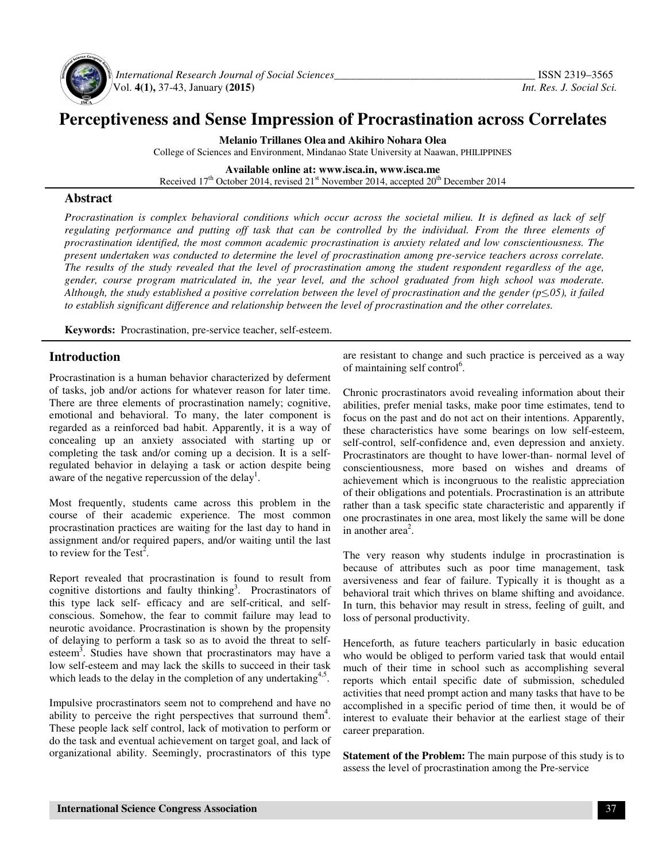

 *International Research Journal of Social Sciences\_\_\_\_\_\_\_\_\_\_\_\_\_\_\_\_\_\_\_\_\_\_\_\_\_\_\_\_\_\_\_\_\_\_\_\_\_* ISSN 2319–3565 Vol. **4(1),** 37-43, January **(2015)** *Int. Res. J. Social Sci.*

# **Perceptiveness and Sense Impression of Procrastination across Correlates**

**Melanio Trillanes Olea and Akihiro Nohara Olea** College of Sciences and Environment, Mindanao State University at Naawan, PHILIPPINES

**Available online at: www.isca.in, www.isca.me**  Received 17<sup>th</sup> October 2014, revised 21<sup>st</sup> November 2014, accepted 20<sup>th</sup> December 2014

#### **Abstract**

*Procrastination is complex behavioral conditions which occur across the societal milieu. It is defined as lack of self* regulating performance and putting off task that can be controlled by the individual. From the three elements of *procrastination identified, the most common academic procrastination is anxiety related and low conscientiousness. The present undertaken was conducted to determine the level of procrastination among pre-service teachers across correlate. The results of the study revealed that the level of procrastination among the student respondent regardless of the age, gender, course program matriculated in, the year level, and the school graduated from high school was moderate. Although, the study established a positive correlation between the level of procrastination and the gender (p*≤*.05), it failed to establish significant difference and relationship between the level of procrastination and the other correlates.* 

**Keywords:** Procrastination, pre-service teacher, self-esteem.

### **Introduction**

Procrastination is a human behavior characterized by deferment of tasks, job and/or actions for whatever reason for later time. There are three elements of procrastination namely; cognitive, emotional and behavioral. To many, the later component is regarded as a reinforced bad habit. Apparently, it is a way of concealing up an anxiety associated with starting up or completing the task and/or coming up a decision. It is a selfregulated behavior in delaying a task or action despite being aware of the negative repercussion of the delay<sup>1</sup>.

Most frequently, students came across this problem in the course of their academic experience. The most common procrastination practices are waiting for the last day to hand in assignment and/or required papers, and/or waiting until the last to review for the Test<sup>2</sup>.

Report revealed that procrastination is found to result from cognitive distortions and faulty thinking<sup>3</sup>. Procrastinators of this type lack self- efficacy and are self-critical, and selfconscious. Somehow, the fear to commit failure may lead to neurotic avoidance. Procrastination is shown by the propensity of delaying to perform a task so as to avoid the threat to selfesteem<sup>3</sup>. Studies have shown that procrastinators may have a low self-esteem and may lack the skills to succeed in their task which leads to the delay in the completion of any undertaking $4.5$ .

Impulsive procrastinators seem not to comprehend and have no ability to perceive the right perspectives that surround them<sup>4</sup>. These people lack self control, lack of motivation to perform or do the task and eventual achievement on target goal, and lack of organizational ability. Seemingly, procrastinators of this type are resistant to change and such practice is perceived as a way of maintaining self control<sup>6</sup>.

Chronic procrastinators avoid revealing information about their abilities, prefer menial tasks, make poor time estimates, tend to focus on the past and do not act on their intentions. Apparently, these characteristics have some bearings on low self-esteem, self-control, self-confidence and, even depression and anxiety. Procrastinators are thought to have lower-than- normal level of conscientiousness, more based on wishes and dreams of achievement which is incongruous to the realistic appreciation of their obligations and potentials. Procrastination is an attribute rather than a task specific state characteristic and apparently if one procrastinates in one area, most likely the same will be done in another  $area<sup>2</sup>$ .

The very reason why students indulge in procrastination is because of attributes such as poor time management, task aversiveness and fear of failure. Typically it is thought as a behavioral trait which thrives on blame shifting and avoidance. In turn, this behavior may result in stress, feeling of guilt, and loss of personal productivity.

Henceforth, as future teachers particularly in basic education who would be obliged to perform varied task that would entail much of their time in school such as accomplishing several reports which entail specific date of submission, scheduled activities that need prompt action and many tasks that have to be accomplished in a specific period of time then, it would be of interest to evaluate their behavior at the earliest stage of their career preparation.

**Statement of the Problem:** The main purpose of this study is to assess the level of procrastination among the Pre-service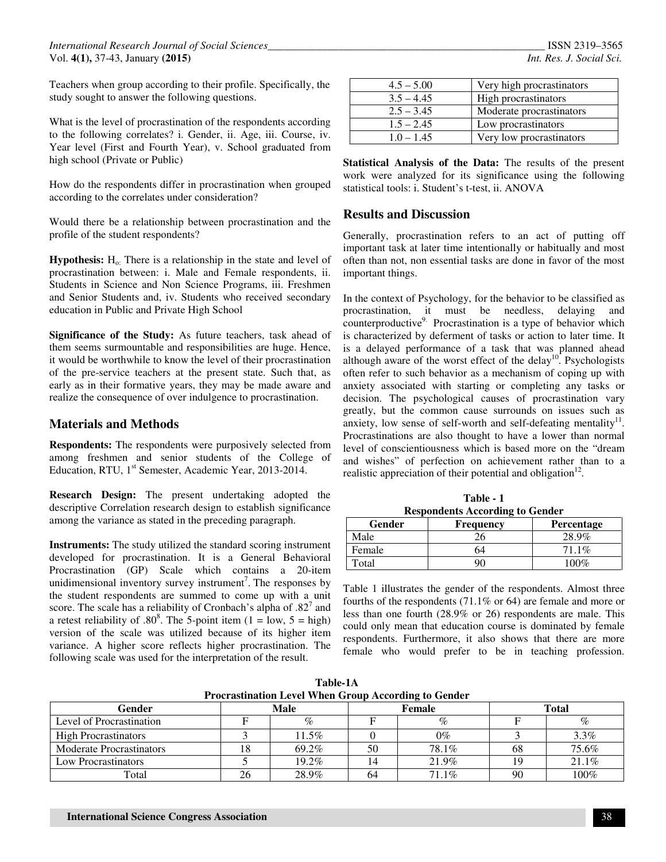Teachers when group according to their profile. Specifically, the study sought to answer the following questions.

What is the level of procrastination of the respondents according to the following correlates? i. Gender, ii. Age, iii. Course, iv. Year level (First and Fourth Year), v. School graduated from high school (Private or Public)

How do the respondents differ in procrastination when grouped according to the correlates under consideration?

Would there be a relationship between procrastination and the profile of the student respondents?

**Hypothesis:**  $H_0$ : There is a relationship in the state and level of procrastination between: i. Male and Female respondents, ii. Students in Science and Non Science Programs, iii. Freshmen and Senior Students and, iv. Students who received secondary education in Public and Private High School

**Significance of the Study:** As future teachers, task ahead of them seems surmountable and responsibilities are huge. Hence, it would be worthwhile to know the level of their procrastination of the pre-service teachers at the present state. Such that, as early as in their formative years, they may be made aware and realize the consequence of over indulgence to procrastination.

## **Materials and Methods**

**Respondents:** The respondents were purposively selected from among freshmen and senior students of the College of Education, RTU, 1<sup>st</sup> Semester, Academic Year, 2013-2014.

**Research Design:** The present undertaking adopted the descriptive Correlation research design to establish significance among the variance as stated in the preceding paragraph.

**Instruments:** The study utilized the standard scoring instrument developed for procrastination. It is a General Behavioral Procrastination (GP) Scale which contains a 20-item unidimensional inventory survey instrument<sup>7</sup>. The responses by the student respondents are summed to come up with a unit score. The scale has a reliability of Cronbach's alpha of  $.82<sup>7</sup>$  and a retest reliability of .80<sup>8</sup>. The 5-point item  $(1 = low, 5 = high)$ version of the scale was utilized because of its higher item variance. A higher score reflects higher procrastination. The following scale was used for the interpretation of the result.

| Very high procrastinators |
|---------------------------|
| High procrastinators      |
| Moderate procrastinators  |
| Low procrastinators       |
| Very low procrastinators  |
|                           |

|  | Statistical Analysis of the Data: The results of the present |  |  |  |  |
|--|--------------------------------------------------------------|--|--|--|--|
|  | work were analyzed for its significance using the following  |  |  |  |  |
|  | statistical tools: i. Student's t-test, ii. ANOVA            |  |  |  |  |

#### **Results and Discussion**

Generally, procrastination refers to an act of putting off important task at later time intentionally or habitually and most often than not, non essential tasks are done in favor of the most important things.

In the context of Psychology, for the behavior to be classified as procrastination, it must be needless, delaying and counterproductive<sup>9.</sup> Procrastination is a type of behavior which is characterized by deferment of tasks or action to later time. It is a delayed performance of a task that was planned ahead although aware of the worst effect of the delay<sup>10</sup>. Psychologists often refer to such behavior as a mechanism of coping up with anxiety associated with starting or completing any tasks or decision. The psychological causes of procrastination vary greatly, but the common cause surrounds on issues such as anxiety, low sense of self-worth and self-defeating mentality $^{11}$ . Procrastinations are also thought to have a lower than normal level of conscientiousness which is based more on the "dream and wishes" of perfection on achievement rather than to a realistic appreciation of their potential and obligation $12$ .

**Table - 1 Respondents According to Gender** 

| Gender | <b>Frequency</b> | Percentage |
|--------|------------------|------------|
| Male   |                  | 28.9%      |
| Female | ነ4               | $71.1\%$   |
| Total  | ว∩               | 100%       |

Table 1 illustrates the gender of the respondents. Almost three fourths of the respondents (71.1% or 64) are female and more or less than one fourth (28.9% or 26) respondents are male. This could only mean that education course is dominated by female respondents. Furthermore, it also shows that there are more female who would prefer to be in teaching profession.

**Table-1A Procrastination Level When Group According to Gender** 

| $1.001$ and convergent model of $1.000$ and $1.000$ and $1.000$ and $1.000$ and $1.000$ and $1.000$ and $1.000$ and $1.000$ and $1.000$ and $1.000$ and $1.000$ and $1.000$ and $1.000$ and $1.000$ and $1.000$ and $1.000$ a |    |       |    |        |    |              |  |  |  |  |
|-------------------------------------------------------------------------------------------------------------------------------------------------------------------------------------------------------------------------------|----|-------|----|--------|----|--------------|--|--|--|--|
| Gender                                                                                                                                                                                                                        |    | Male  |    | Female |    | <b>Total</b> |  |  |  |  |
| Level of Procrastination                                                                                                                                                                                                      |    | $\%$  |    | %      |    | $\%$         |  |  |  |  |
| <b>High Procrastinators</b>                                                                                                                                                                                                   |    | 11.5% |    | $0\%$  |    | 3.3%         |  |  |  |  |
| <b>Moderate Procrastinators</b>                                                                                                                                                                                               |    | 69.2% | 50 | 78.1%  | ხგ | 75.6%        |  |  |  |  |
| Low Procrastinators                                                                                                                                                                                                           |    | 19.2% |    | 21.9%  |    | 21.1%        |  |  |  |  |
| Total                                                                                                                                                                                                                         | 26 | 28.9% | 64 | 71.1%  | 90 | $100\%$      |  |  |  |  |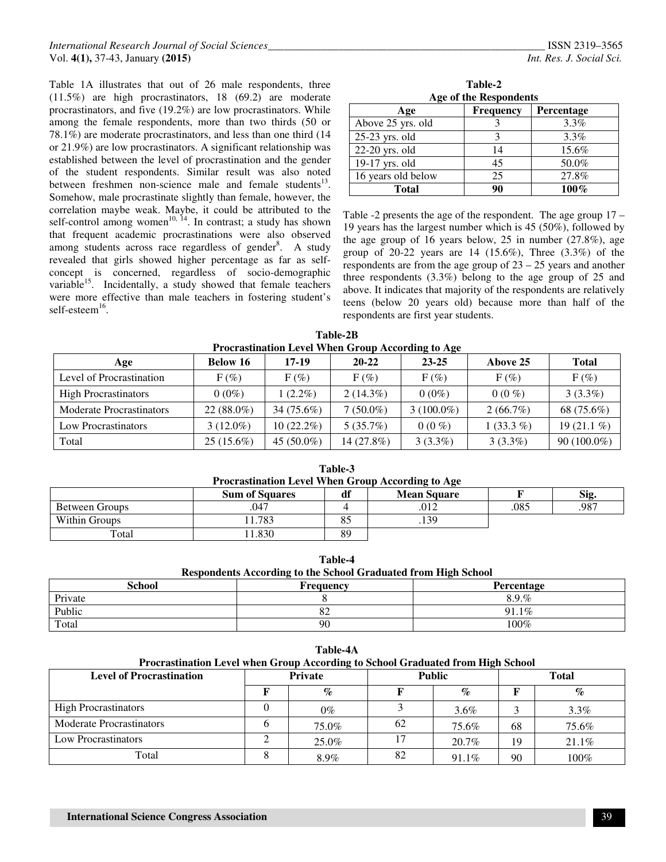Table 1A illustrates that out of 26 male respondents, three (11.5%) are high procrastinators, 18 (69.2) are moderate procrastinators, and five (19.2%) are low procrastinators. While among the female respondents, more than two thirds (50 or 78.1%) are moderate procrastinators, and less than one third (14 or 21.9%) are low procrastinators. A significant relationship was established between the level of procrastination and the gender of the student respondents. Similar result was also noted between freshmen non-science male and female students<sup>13</sup>. Somehow, male procrastinate slightly than female, however, the correlation maybe weak. Maybe, it could be attributed to the self-control among women<sup>10, 14</sup>. In contrast; a study has shown that frequent academic procrastinations were also observed among students across race regardless of gender<sup>8</sup>. A study revealed that girls showed higher percentage as far as selfconcept is concerned, regardless of socio-demographic variable<sup>15</sup>. Incidentally, a study showed that female teachers were more effective than male teachers in fostering student's self-esteem<sup>16</sup>.

**Table-2 Age of the Respondents** 

| Age                | Frequency | Percentage |
|--------------------|-----------|------------|
| Above 25 yrs. old  |           | $3.3\%$    |
| 25-23 yrs. old     |           | $3.3\%$    |
| 22-20 yrs. old     | 14        | 15.6%      |
| 19-17 yrs. old     | 45        | 50.0%      |
| 16 years old below | 25        | 27.8%      |
| <b>Total</b>       | Q٨        | $100\%$    |

Table -2 presents the age of the respondent. The age group 17 – 19 years has the largest number which is 45 (50%), followed by the age group of 16 years below, 25 in number (27.8%), age group of 20-22 years are  $14$  (15.6%), Three (3.3%) of the respondents are from the age group of 23 – 25 years and another three respondents (3.3%) belong to the age group of 25 and above. It indicates that majority of the respondents are relatively teens (below 20 years old) because more than half of the respondents are first year students.

**Table-2B Procrastination Level When Group According to Age** 

| Age                             | <b>Below 16</b> | $17 - 19$     | $20 - 22$   | $23 - 25$          | Above 25    | <b>Total</b>  |
|---------------------------------|-----------------|---------------|-------------|--------------------|-------------|---------------|
| Level of Procrastination        | $F(\%)$         | $F(\%)$       | $F(\%)$     | $F(\%)$            | $F(\%)$     | $F(\%)$       |
| <b>High Procrastinators</b>     | $0(0\%)$        | $1(2.2\%)$    | $2(14.3\%)$ | $0(0\%)$           | $0(0\%)$    | $3(3.3\%)$    |
| <b>Moderate Procrastinators</b> | $22(88.0\%)$    | 34 (75.6%)    | $7(50.0\%)$ | $(100.0\%)$<br>3 ( | $2(66.7\%)$ | 68 (75.6%)    |
| Low Procrastinators             | $3(12.0\%)$     | $10(22.2\%)$  | $5(35.7\%)$ | $0(0\%)$           | $1(33.3\%)$ | 19 $(21.1\%)$ |
| Total                           | $25(15.6\%)$    | 45 $(50.0\%)$ | 14 (27.8%)  | $3(3.3\%)$         | $3(3.3\%)$  | 90 (100.0%)   |

| таріе-э<br><b>Procrastination Level When Group According to Age</b> |        |    |     |      |      |  |  |  |  |  |
|---------------------------------------------------------------------|--------|----|-----|------|------|--|--|--|--|--|
| <b>Sum of Squares</b><br><b>Mean Square</b><br>Sig.<br>df           |        |    |     |      |      |  |  |  |  |  |
| Between Groups                                                      | .047   |    | 012 | .085 | .987 |  |  |  |  |  |
| Within Groups                                                       | 11.783 | 85 | 139 |      |      |  |  |  |  |  |
| Total                                                               | 1.830  | 89 |     |      |      |  |  |  |  |  |

**Table-3** 

**Table-4 Respondents According to the School Graduated from High School** 

| <b>School</b> | <b>Frequency</b> | Percentage |
|---------------|------------------|------------|
| Private       |                  | 8.9.%      |
| Public        | o∠               | 91.1%      |
| Total         | 90               | $100\%$    |

| Table-4A                                                                                                                                                       |      |       |      |          |                             |          |  |  |  |  |  |
|----------------------------------------------------------------------------------------------------------------------------------------------------------------|------|-------|------|----------|-----------------------------|----------|--|--|--|--|--|
| Procrastination Level when Group According to School Graduated from High School<br><b>Level of Procrastination</b><br>Private<br><b>Public</b><br><b>Total</b> |      |       |      |          |                             |          |  |  |  |  |  |
|                                                                                                                                                                | $\%$ |       | $\%$ |          | $\mathcal{G}_{\mathcal{O}}$ |          |  |  |  |  |  |
| <b>High Procrastinators</b>                                                                                                                                    |      | $0\%$ |      | $3.6\%$  |                             | $3.3\%$  |  |  |  |  |  |
| <b>Moderate Procrastinators</b>                                                                                                                                | n    | 75.0% | 62   | 75.6%    | 68                          | 75.6%    |  |  |  |  |  |
| Low Procrastinators                                                                                                                                            |      | 25.0% |      | $20.7\%$ | 19                          | $21.1\%$ |  |  |  |  |  |
| Total                                                                                                                                                          | δ    | 8.9%  | 82   | $91.1\%$ | 90                          | $100\%$  |  |  |  |  |  |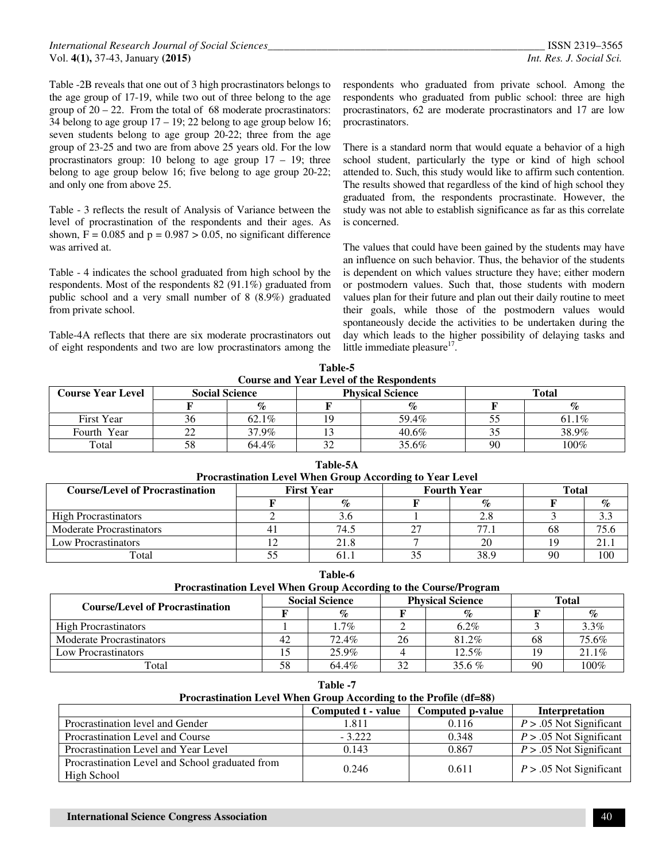Table -2B reveals that one out of 3 high procrastinators belongs to the age group of 17-19, while two out of three belong to the age group of  $20 - 22$ . From the total of 68 moderate procrastinators: 34 belong to age group  $17 - 19$ ; 22 belong to age group below 16; seven students belong to age group 20-22; three from the age group of 23-25 and two are from above 25 years old. For the low procrastinators group: 10 belong to age group  $17 - 19$ ; three belong to age group below 16; five belong to age group 20-22; and only one from above 25.

Table - 3 reflects the result of Analysis of Variance between the level of procrastination of the respondents and their ages. As shown,  $F = 0.085$  and  $p = 0.987 > 0.05$ , no significant difference was arrived at.

Table - 4 indicates the school graduated from high school by the respondents. Most of the respondents 82 (91.1%) graduated from public school and a very small number of 8 (8.9%) graduated from private school.

Table-4A reflects that there are six moderate procrastinators out of eight respondents and two are low procrastinators among the respondents who graduated from private school. Among the respondents who graduated from public school: three are high procrastinators, 62 are moderate procrastinators and 17 are low procrastinators.

There is a standard norm that would equate a behavior of a high school student, particularly the type or kind of high school attended to. Such, this study would like to affirm such contention. The results showed that regardless of the kind of high school they graduated from, the respondents procrastinate. However, the study was not able to establish significance as far as this correlate is concerned.

The values that could have been gained by the students may have an influence on such behavior. Thus, the behavior of the students is dependent on which values structure they have; either modern or postmodern values. Such that, those students with modern values plan for their future and plan out their daily routine to meet their goals, while those of the postmodern values would spontaneously decide the activities to be undertaken during the day which leads to the higher possibility of delaying tasks and little immediate pleasure<sup>17</sup>.

| Table-5                                         |                       |       |    |                         |    |       |  |  |  |  |
|-------------------------------------------------|-----------------------|-------|----|-------------------------|----|-------|--|--|--|--|
| <b>Course and Year Level of the Respondents</b> |                       |       |    |                         |    |       |  |  |  |  |
| <b>Course Year Level</b>                        | <b>Social Science</b> |       |    | <b>Physical Science</b> |    | Total |  |  |  |  |
|                                                 |                       | $\%$  |    |                         |    | $\%$  |  |  |  |  |
| First Year                                      | 36                    | 62.1% | 19 | 59.4%                   |    | 61.1% |  |  |  |  |
| Fourth Year                                     | 22                    | 37.9% |    | $40.6\%$                |    | 38.9% |  |  |  |  |
| Total                                           | 58                    | 64.4% | 32 | 35.6%                   | 90 | 100%  |  |  |  |  |

| Table-5A                               |                                                  |                                                          |  |      |    |      |  |  |
|----------------------------------------|--------------------------------------------------|----------------------------------------------------------|--|------|----|------|--|--|
|                                        |                                                  | Procrastination Level When Group According to Year Level |  |      |    |      |  |  |
| <b>Course/Level of Procrastination</b> | <b>Fourth Year</b><br><b>First Year</b><br>Total |                                                          |  |      |    |      |  |  |
|                                        |                                                  | $\%$                                                     |  | $\%$ |    | $\%$ |  |  |
| <b>High Procrastinators</b>            |                                                  | 3.6                                                      |  | 2.8  |    | 3.3  |  |  |
| <b>Moderate Procrastinators</b>        | 4                                                | 74.5                                                     |  | 77.1 | 68 | 75.6 |  |  |
| Low Procrastinators                    |                                                  | 21.8                                                     |  | 20   |    | 21.1 |  |  |
| Total                                  |                                                  | 61.1                                                     |  | 38.9 | 90 | 100  |  |  |

**Table-6 Procrastination Level When Group According to the Course/Program** 

| <b>Course/Level of Procrastination</b> | <b>Social Science</b> |       |    | <b>Physical Science</b> | Total    |         |  |
|----------------------------------------|-----------------------|-------|----|-------------------------|----------|---------|--|
|                                        |                       | $\%$  |    | $\%$                    | 68<br>19 | $\%$    |  |
| <b>High Procrastinators</b>            |                       | 1.7%  |    | $6.2\%$                 |          | $3.3\%$ |  |
| <b>Moderate Procrastinators</b>        | 42                    | 72.4% | 26 | 81.2%                   |          | 75.6%   |  |
| Low Procrastinators                    |                       | 25.9% |    | 12.5%                   |          | 21.1%   |  |
| Total                                  | 58                    | 64.4% | 32 | 35.6 $%$                | 90       | 100%    |  |

**Table -7** 

| Procrastination Level When Group According to the Profile (df=88) |                    |                  |                           |  |  |
|-------------------------------------------------------------------|--------------------|------------------|---------------------------|--|--|
|                                                                   | Computed t - value | Computed p-value | <b>Interpretation</b>     |  |  |
| Procrastination level and Gender                                  | 1.811              | 0.116            | $P > .05$ Not Significant |  |  |
| Procrastination Level and Course                                  | $-3.222$           | 0.348            | $P > .05$ Not Significant |  |  |
| Procrastination Level and Year Level                              | 0.143              | 0.867            | $P > .05$ Not Significant |  |  |
| Procrastination Level and School graduated from                   | 0.246              | 0.611            | $P > .05$ Not Significant |  |  |
| High School                                                       |                    |                  |                           |  |  |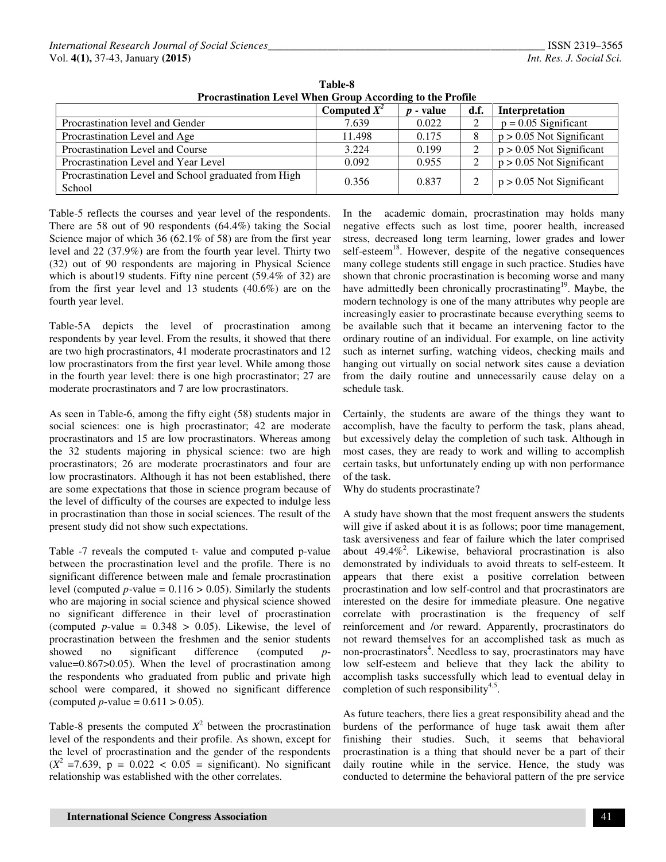| Procrastination Level When Group According to the Profile      |                |             |      |                            |  |
|----------------------------------------------------------------|----------------|-------------|------|----------------------------|--|
|                                                                | Computed $X^2$ | $p$ - value | d.f. | Interpretation             |  |
| Procrastination level and Gender                               | 7.639          | 0.022       | ∠    | $p = 0.05$ Significant     |  |
| Procrastination Level and Age                                  | 11.498         | 0.175       |      | $p > 0.05$ Not Significant |  |
| Procrastination Level and Course                               | 3.224          | 0.199       |      | $p > 0.05$ Not Significant |  |
| Procrastination Level and Year Level                           | 0.092          | 0.955       |      | $p > 0.05$ Not Significant |  |
| Procrastination Level and School graduated from High<br>School | 0.356          | 0.837       |      | $p > 0.05$ Not Significant |  |

**Table-8 Procrastination Level When Group According to the Profile** 

Table-5 reflects the courses and year level of the respondents. There are 58 out of 90 respondents (64.4%) taking the Social Science major of which 36 (62.1% of 58) are from the first year level and 22 (37.9%) are from the fourth year level. Thirty two (32) out of 90 respondents are majoring in Physical Science which is about19 students. Fifty nine percent (59.4% of 32) are from the first year level and 13 students (40.6%) are on the fourth year level.

Table-5A depicts the level of procrastination among respondents by year level. From the results, it showed that there are two high procrastinators, 41 moderate procrastinators and 12 low procrastinators from the first year level. While among those in the fourth year level: there is one high procrastinator; 27 are moderate procrastinators and 7 are low procrastinators.

As seen in Table-6, among the fifty eight (58) students major in social sciences: one is high procrastinator; 42 are moderate procrastinators and 15 are low procrastinators. Whereas among the 32 students majoring in physical science: two are high procrastinators; 26 are moderate procrastinators and four are low procrastinators. Although it has not been established, there are some expectations that those in science program because of the level of difficulty of the courses are expected to indulge less in procrastination than those in social sciences. The result of the present study did not show such expectations.

Table -7 reveals the computed t- value and computed p-value between the procrastination level and the profile. There is no significant difference between male and female procrastination level (computed *p*-value =  $0.116 > 0.05$ ). Similarly the students who are majoring in social science and physical science showed no significant difference in their level of procrastination (computed *p*-value =  $0.348 > 0.05$ ). Likewise, the level of procrastination between the freshmen and the senior students showed no significant difference (computed *p*value=0.867>0.05). When the level of procrastination among the respondents who graduated from public and private high school were compared, it showed no significant difference (computed *p*-value =  $0.611 > 0.05$ ).

Table-8 presents the computed  $X^2$  between the procrastination level of the respondents and their profile. As shown, except for the level of procrastination and the gender of the respondents  $(X^2 = 7.639, p = 0.022 < 0.05 =$  significant). No significant relationship was established with the other correlates.

In the academic domain, procrastination may holds many negative effects such as lost time, poorer health, increased stress, decreased long term learning, lower grades and lower self-esteem<sup>18</sup>. However, despite of the negative consequences many college students still engage in such practice. Studies have shown that chronic procrastination is becoming worse and many have admittedly been chronically procrastinating<sup>19</sup>. Maybe, the modern technology is one of the many attributes why people are increasingly easier to procrastinate because everything seems to be available such that it became an intervening factor to the ordinary routine of an individual. For example, on line activity such as internet surfing, watching videos, checking mails and hanging out virtually on social network sites cause a deviation from the daily routine and unnecessarily cause delay on a schedule task.

Certainly, the students are aware of the things they want to accomplish, have the faculty to perform the task, plans ahead, but excessively delay the completion of such task. Although in most cases, they are ready to work and willing to accomplish certain tasks, but unfortunately ending up with non performance of the task.

Why do students procrastinate?

A study have shown that the most frequent answers the students will give if asked about it is as follows; poor time management, task aversiveness and fear of failure which the later comprised about  $49.4\%$ <sup>2</sup>. Likewise, behavioral procrastination is also demonstrated by individuals to avoid threats to self-esteem. It appears that there exist a positive correlation between procrastination and low self-control and that procrastinators are interested on the desire for immediate pleasure. One negative correlate with procrastination is the frequency of self reinforcement and /or reward. Apparently, procrastinators do not reward themselves for an accomplished task as much as non-procrastinators<sup>4</sup>. Needless to say, procrastinators may have low self-esteem and believe that they lack the ability to accomplish tasks successfully which lead to eventual delay in completion of such responsibility<sup>4,5</sup>.

As future teachers, there lies a great responsibility ahead and the burdens of the performance of huge task await them after finishing their studies. Such, it seems that behavioral procrastination is a thing that should never be a part of their daily routine while in the service. Hence, the study was conducted to determine the behavioral pattern of the pre service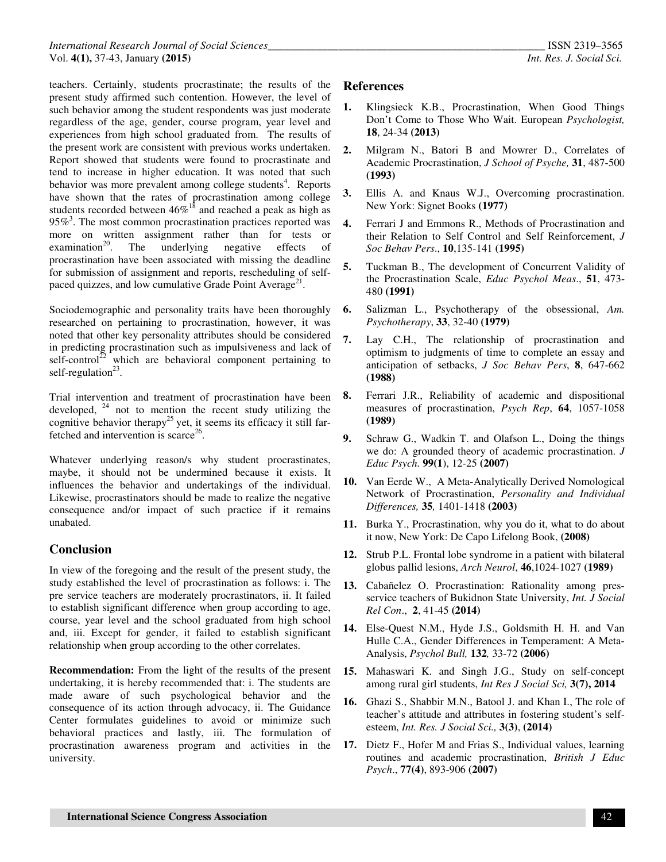teachers. Certainly, students procrastinate; the results of the present study affirmed such contention. However, the level of such behavior among the student respondents was just moderate regardless of the age, gender, course program, year level and experiences from high school graduated from. The results of the present work are consistent with previous works undertaken. Report showed that students were found to procrastinate and tend to increase in higher education. It was noted that such behavior was more prevalent among college students<sup>4</sup>. Reports have shown that the rates of procrastination among college students recorded between  $46\%$ <sup>18</sup> and reached a peak as high as  $95\%$ <sup>3</sup>. The most common procrastination practices reported was more on written assignment rather than for tests or examination<sup>20</sup>. The underlying negative effects of The underlying negative effects of procrastination have been associated with missing the deadline for submission of assignment and reports, rescheduling of selfpaced quizzes, and low cumulative Grade Point Average<sup>21</sup>.

Sociodemographic and personality traits have been thoroughly researched on pertaining to procrastination, however, it was noted that other key personality attributes should be considered in predicting procrastination such as impulsiveness and lack of self-control<sup>22</sup> which are behavioral component pertaining to self-regulation<sup>23</sup>.

Trial intervention and treatment of procrastination have been developed,  $24$  not to mention the recent study utilizing the cognitive behavior therapy<sup>25</sup> yet, it seems its efficacy it still farfetched and intervention is scarce<sup>26</sup>.

Whatever underlying reason/s why student procrastinates, maybe, it should not be undermined because it exists. It influences the behavior and undertakings of the individual. Likewise, procrastinators should be made to realize the negative consequence and/or impact of such practice if it remains unabated.

# **Conclusion**

In view of the foregoing and the result of the present study, the study established the level of procrastination as follows: i. The pre service teachers are moderately procrastinators, ii. It failed to establish significant difference when group according to age, course, year level and the school graduated from high school and, iii. Except for gender, it failed to establish significant relationship when group according to the other correlates.

**Recommendation:** From the light of the results of the present undertaking, it is hereby recommended that: i. The students are made aware of such psychological behavior and the consequence of its action through advocacy, ii. The Guidance Center formulates guidelines to avoid or minimize such behavioral practices and lastly, iii. The formulation of procrastination awareness program and activities in the university.

## **References**

- **1.** Klingsieck K.B., Procrastination, When Good Things Don't Come to Those Who Wait. European *Psychologist,* **18**, 24-34 **(2013)**
- **2.** Milgram N., Batori B and Mowrer D., Correlates of Academic Procrastination, *J School of Psyche,* **31**, 487-500 **(1993)**
- **3.** Ellis A. and Knaus W.J., Overcoming procrastination. New York: Signet Books **(1977)**
- **4.** Ferrari J and Emmons R., Methods of Procrastination and their Relation to Self Control and Self Reinforcement, *J Soc Behav Pers*., **10**,135-141 **(1995)**
- **5.** Tuckman B., The development of Concurrent Validity of the Procrastination Scale, *Educ Psychol Meas*., **51**, 473- 480 **(1991)**
- **6.** Salizman L., Psychotherapy of the obsessional, *Am. Psychotherapy*, **33**, 32-40 **(1979)**
- **7.** Lay C.H., The relationship of procrastination and optimism to judgments of time to complete an essay and anticipation of setbacks, *J Soc Behav Pers*, **8**, 647-662 **(1988)**
- **8.** Ferrari J.R., Reliability of academic and dispositional measures of procrastination, *Psych Rep*, **64**, 1057-1058 **(1989)**
- **9.** Schraw G., Wadkin T. and Olafson L., Doing the things we do: A grounded theory of academic procrastination. *J Educ Psych.* **99(1**), 12-25 **(2007)**
- **10.** Van Eerde W., A Meta-Analytically Derived Nomological Network of Procrastination, *Personality and Individual Differences,* **35***,* 1401-1418 **(2003)**
- **11.** Burka Y., Procrastination, why you do it, what to do about it now, New York: De Capo Lifelong Book, **(2008)**
- **12.** Strub P.L. Frontal lobe syndrome in a patient with bilateral globus pallid lesions, *Arch Neurol*, **46**,1024-1027 **(1989)**
- **13.** Cabañelez O. Procrastination: Rationality among presservice teachers of Bukidnon State University, *Int. J Social Rel Con*., **2**, 41-45 **(2014)**
- **14.** Else-Quest N.M., Hyde J.S., Goldsmith H. H. and Van Hulle C.A., Gender Differences in Temperament: A Meta-Analysis, *Psychol Bull,* **132***,* 33-72 **(2006)**
- **15.** Mahaswari K. and Singh J.G., Study on self-concept among rural girl students, *Int Res J Social Sci,* **3(7), 2014**
- **16.** Ghazi S., Shabbir M.N., Batool J. and Khan I., The role of teacher's attitude and attributes in fostering student's selfesteem, *Int. Res. J Social Sci.,* **3(3)**, **(2014)**
- **17.** Dietz F., Hofer M and Frias S., Individual values, learning routines and academic procrastination, *British J Educ Psych*., **77(4)**, 893-906 **(2007)**